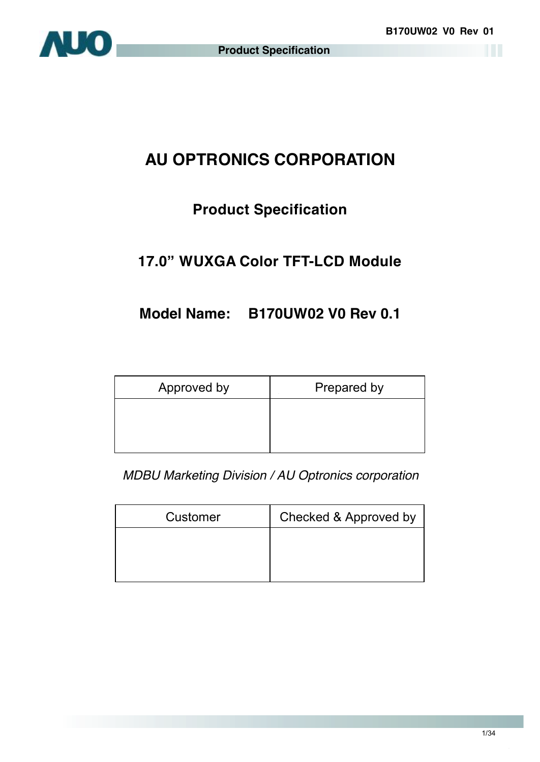

# **AU OPTRONICS CORPORATION**

## **Product Specification**

## **17.0" WUXGA Color TFT-LCD Module**

## **Model Name: B170UW02 V0 Rev 0.1**

| ,他们的人们也不能在这里,他们的人们也不能在这里,他们的人们也不能在这里,他们的人们也不能在这里,他们的人们也不能在这里,他们的人们也不能在这里,他们的人们也不 | Approved by | Prepared by |  |
|----------------------------------------------------------------------------------|-------------|-------------|--|
|                                                                                  |             |             |  |
|                                                                                  |             |             |  |

*MDBU Marketing Division / AU Optronics corporation*

| Customer | Checked & Approved by |
|----------|-----------------------|
|          |                       |
|          |                       |
|          |                       |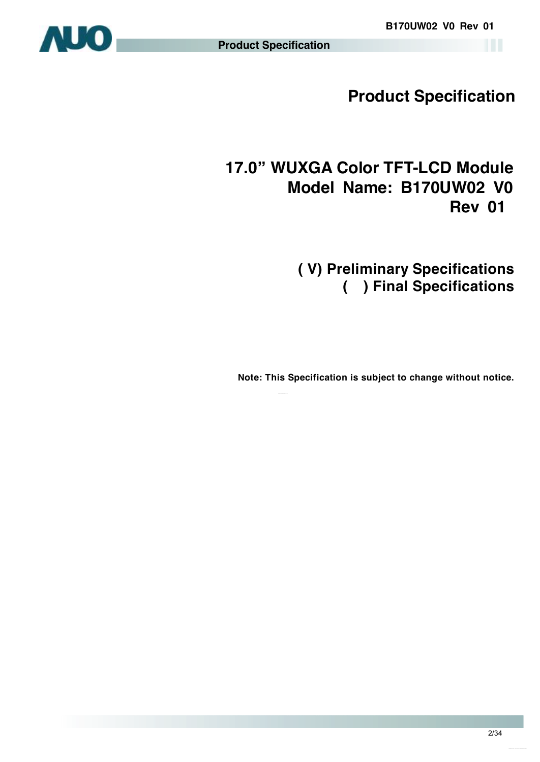



# **17.0" WUXGA Color TFT-LCD Module Model Name: B170UW02 V0 Rev 01**

## **( V) Preliminary Specifications ( ) Final Specifications**

 **Note: This Specification is subject to change without notice.**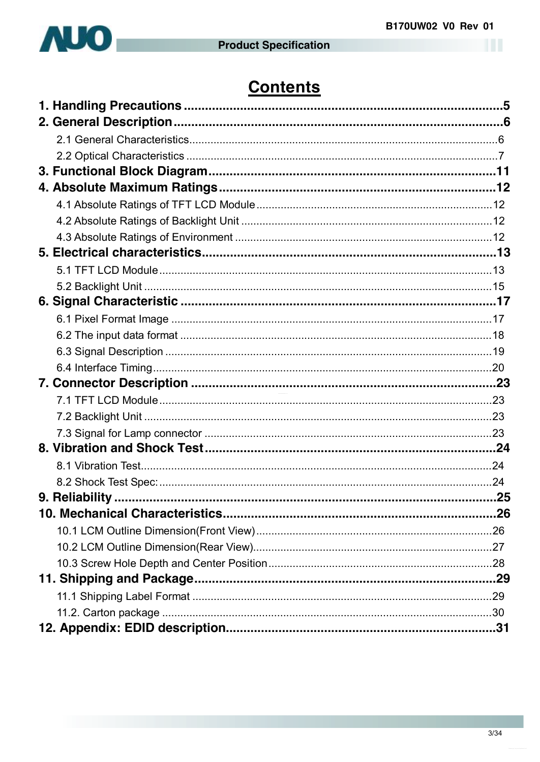

# **Contents**

| .5 |
|----|
|    |
|    |
|    |
|    |
|    |
|    |
|    |
|    |
|    |
|    |
|    |
|    |
|    |
|    |
|    |
|    |
|    |
|    |
|    |
|    |
|    |
|    |
|    |
|    |
|    |
|    |
|    |
|    |
|    |
|    |
|    |
|    |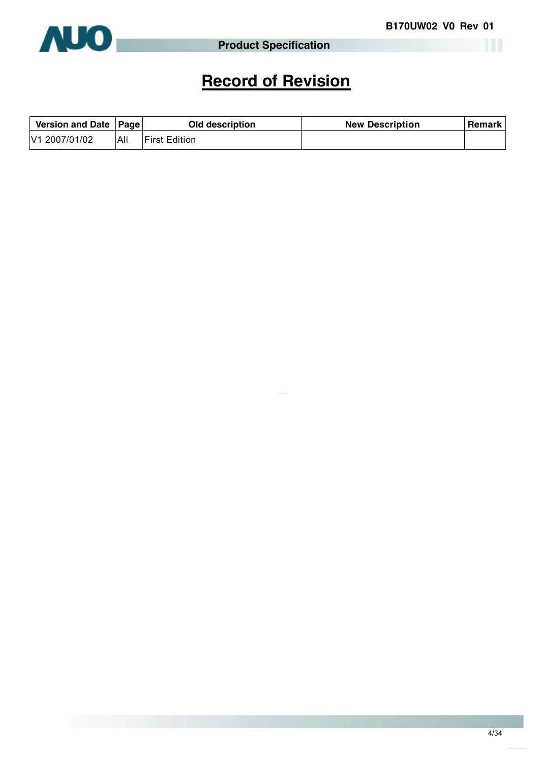

# **Record of Revision**

| Version and Date   Page |     | Old description      | <b>New Description</b> | <b>Remark</b> |
|-------------------------|-----|----------------------|------------------------|---------------|
| V1 2007/01/02           | All | <b>First Edition</b> |                        |               |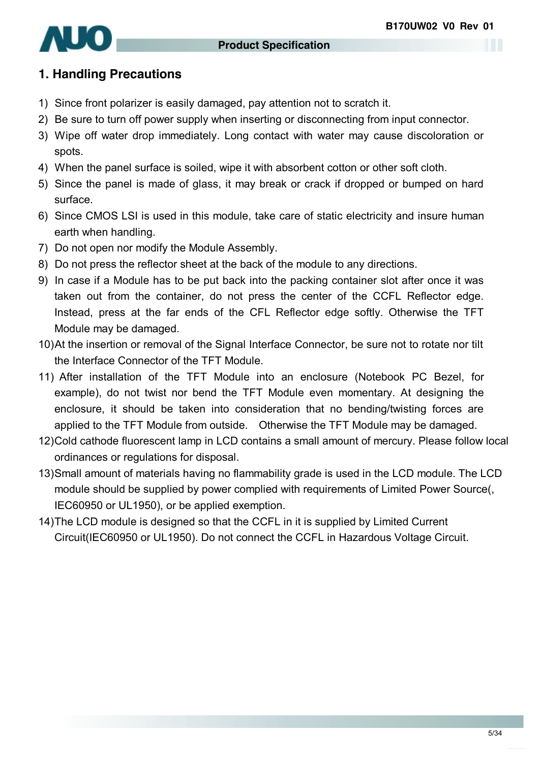

### **1. Handling Precautions**

- 1) Since front polarizer is easily damaged, pay attention not to scratch it.
- 2) Be sure to turn off power supply when inserting or disconnecting from input connector.
- 3) Wipe off water drop immediately. Long contact with water may cause discoloration or spots.
- 4) When the panel surface is soiled, wipe it with absorbent cotton or other soft cloth.
- 5) Since the panel is made of glass, it may break or crack if dropped or bumped on hard surface.
- 6) Since CMOS LSI is used in this module, take care of static electricity and insure human earth when handling.
- 7) Do not open nor modify the Module Assembly.
- 8) Do not press the reflector sheet at the back of the module to any directions.
- 9) In case if a Module has to be put back into the packing container slot after once it was taken out from the container, do not press the center of the CCFL Reflector edge. Instead, press at the far ends of the CFL Reflector edge softly. Otherwise the TFT Module may be damaged.
- 10)At the insertion or removal of the Signal Interface Connector, be sure not to rotate nor tilt the Interface Connector of the TFT Module.
- 11) After installation of the TFT Module into an enclosure (Notebook PC Bezel, for example), do not twist nor bend the TFT Module even momentary. At designing the enclosure, it should be taken into consideration that no bending/twisting forces are applied to the TFT Module from outside. Otherwise the TFT Module may be damaged.
- 12)Cold cathode fluorescent lamp in LCD contains a small amount of mercury. Please follow local ordinances or regulations for disposal.
- 13)Small amount of materials having no flammability grade is used in the LCD module. The LCD module should be supplied by power complied with requirements of Limited Power Source(, IEC60950 or UL1950), or be applied exemption.
- 14)The LCD module is designed so that the CCFL in it is supplied by Limited Current Circuit(IEC60950 or UL1950). Do not connect the CCFL in Hazardous Voltage Circuit.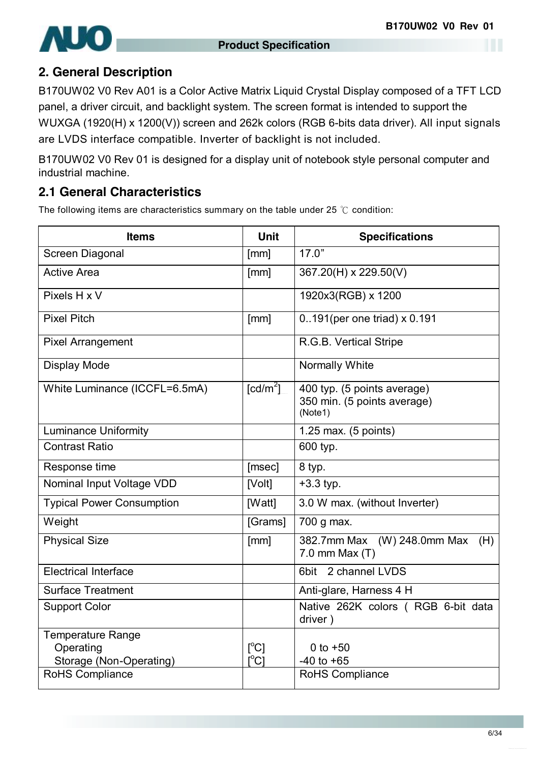

### **2. General Description**

B170UW02 V0 Rev A01 is a Color Active Matrix Liquid Crystal Display composed of a TFT LCD panel, a driver circuit, and backlight system. The screen format is intended to support the WUXGA (1920(H) x 1200(V)) screen and 262k colors (RGB 6-bits data driver). All input signals are LVDS interface compatible. Inverter of backlight is not included.

B170UW02 V0 Rev 01 is designed for a display unit of notebook style personal computer and industrial machine.

### **2.1 General Characteristics**

The following items are characteristics summary on the table under 25 ℃ condition:

| <b>Items</b>                                                     | <b>Unit</b>                                                        | <b>Specifications</b>                                                 |
|------------------------------------------------------------------|--------------------------------------------------------------------|-----------------------------------------------------------------------|
| Screen Diagonal                                                  | [mm]                                                               | 17.0"                                                                 |
| <b>Active Area</b>                                               | [mm]                                                               | 367.20(H) x 229.50(V)                                                 |
| Pixels H x V                                                     |                                                                    | 1920x3(RGB) x 1200                                                    |
| <b>Pixel Pitch</b>                                               | [mm]                                                               | 0191 (per one triad) x 0.191                                          |
| <b>Pixel Arrangement</b>                                         |                                                                    | R.G.B. Vertical Stripe                                                |
| <b>Display Mode</b>                                              |                                                                    | Normally White                                                        |
| White Luminance (ICCFL=6.5mA)                                    | $\lceil cd/m^2 \rceil$                                             | 400 typ. (5 points average)<br>350 min. (5 points average)<br>(Note1) |
| <b>Luminance Uniformity</b>                                      |                                                                    | 1.25 max. (5 points)                                                  |
| <b>Contrast Ratio</b>                                            |                                                                    | 600 typ.                                                              |
| Response time                                                    | [msec]                                                             | 8 typ.                                                                |
| Nominal Input Voltage VDD                                        | [Volt]                                                             | $+3.3$ typ.                                                           |
| <b>Typical Power Consumption</b>                                 | [Watt]                                                             | 3.0 W max. (without Inverter)                                         |
| Weight                                                           | [Grams]                                                            | 700 g max.                                                            |
| <b>Physical Size</b>                                             | [mm]                                                               | (W) 248.0mm Max<br>382.7mm Max<br>(H)<br>$7.0$ mm Max $(T)$           |
| <b>Electrical Interface</b>                                      |                                                                    | 6bit 2 channel LVDS                                                   |
| <b>Surface Treatment</b>                                         |                                                                    | Anti-glare, Harness 4 H                                               |
| <b>Support Color</b>                                             |                                                                    | Native 262K colors (RGB 6-bit data<br>driver)                         |
| <b>Temperature Range</b><br>Operating<br>Storage (Non-Operating) | $\mathsf{I}^{\circ}$ Cl<br>$\mathsf{I}^\circ\mathsf{C} \mathsf{I}$ | 0 to $+50$<br>$-40$ to $+65$                                          |
| RoHS Compliance                                                  |                                                                    | <b>RoHS Compliance</b>                                                |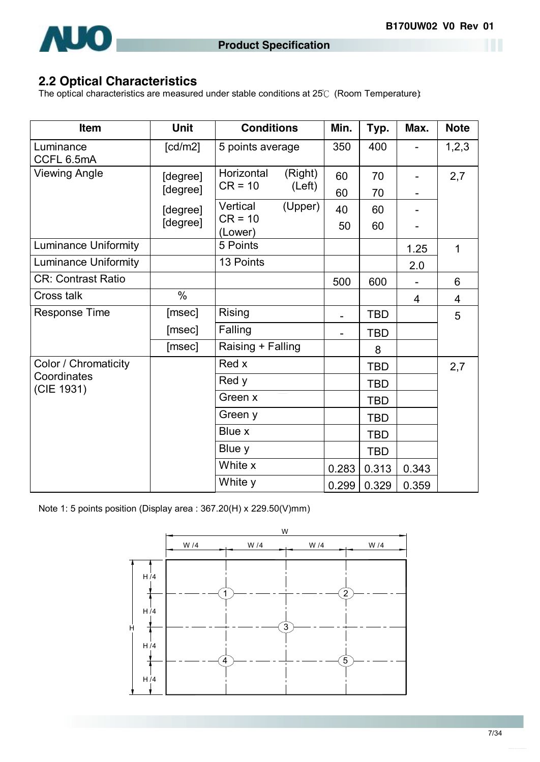

### **2.2 Optical Characteristics**

The optical characteristics are measured under stable conditions at 25℃ (Room Temperature):

| <b>Item</b>                 | <b>Unit</b> | <b>Conditions</b>                            | Min.                     | Typ.       | Max.  | <b>Note</b> |
|-----------------------------|-------------|----------------------------------------------|--------------------------|------------|-------|-------------|
| Luminance<br>CCFL 6.5mA     | [cd/m2]     | 5 points average                             | 350                      | 400        |       | 1, 2, 3     |
| <b>Viewing Angle</b>        | [degree]    | Horizontal<br>(Right)<br>$CR = 10$<br>(Left) | 60                       | 70         |       | 2,7         |
|                             | [degree]    |                                              | 60                       | 70         |       |             |
|                             | [degree]    | Vertical<br>(Upper)<br>$CR = 10$             | 40                       | 60         |       |             |
|                             | [degree]    | (Lower)                                      | 50                       | 60         |       |             |
| <b>Luminance Uniformity</b> |             | 5 Points                                     |                          |            | 1.25  | 1           |
| <b>Luminance Uniformity</b> |             | 13 Points                                    |                          |            | 2.0   |             |
| <b>CR: Contrast Ratio</b>   |             |                                              | 500                      | 600        |       | 6           |
| Cross talk                  | $\%$        |                                              |                          |            | 4     | 4           |
| <b>Response Time</b>        | [msec]      | Rising                                       | $\overline{\phantom{0}}$ | TBD        |       | 5           |
|                             | [msec]      | Falling                                      |                          | <b>TBD</b> |       |             |
|                             | [msec]      | Raising + Falling                            |                          | 8          |       |             |
| Color / Chromaticity        |             | Red x                                        |                          | <b>TBD</b> |       | 2,7         |
| Coordinates<br>(CIE 1931)   |             | Red y                                        |                          | <b>TBD</b> |       |             |
|                             |             | Green x                                      |                          | <b>TBD</b> |       |             |
|                             |             | Green y                                      |                          | <b>TBD</b> |       |             |
|                             |             | Blue x                                       |                          | <b>TBD</b> |       |             |
|                             |             | Blue y                                       |                          | <b>TBD</b> |       |             |
|                             |             | White x                                      | 0.283                    | 0.313      | 0.343 |             |
|                             |             | White y                                      | 0.299                    | 0.329      | 0.359 |             |

Note 1: 5 points position (Display area : 367.20(H) x 229.50(V)mm)

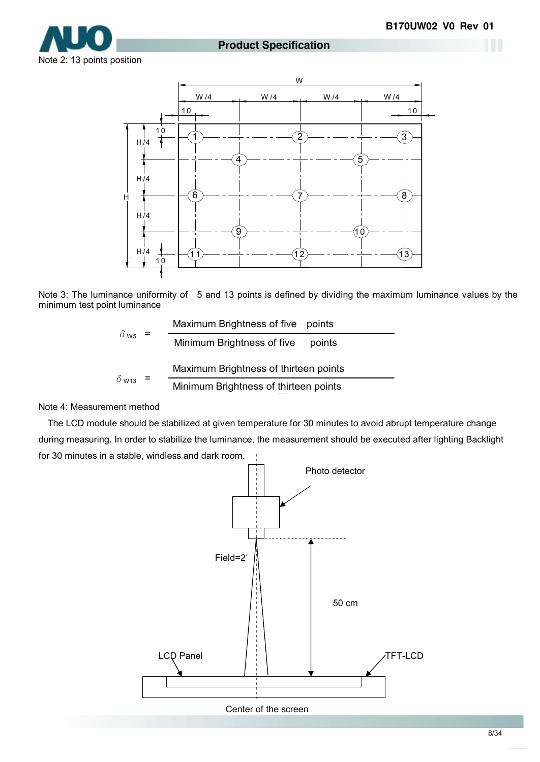



Note 3: The luminance uniformity of 5 and 13 points is defined by dividing the maximum luminance values by the minimum test point luminance

|                         | Maximum Brightness of five points     |
|-------------------------|---------------------------------------|
| $\delta$ w <sub>5</sub> | Minimum Brightness of five<br>points  |
|                         | Maximum Brightness of thirteen points |
| $\delta$ W13            | Minimum Brightness of thirteen points |

Note 4: Measurement method

The LCD module should be stabilized at given temperature for 30 minutes to avoid abrupt temperature change during measuring. In order to stabilize the luminance, the measurement should be executed after lighting Backlight for 30 minutes in a stable, windless and dark room.

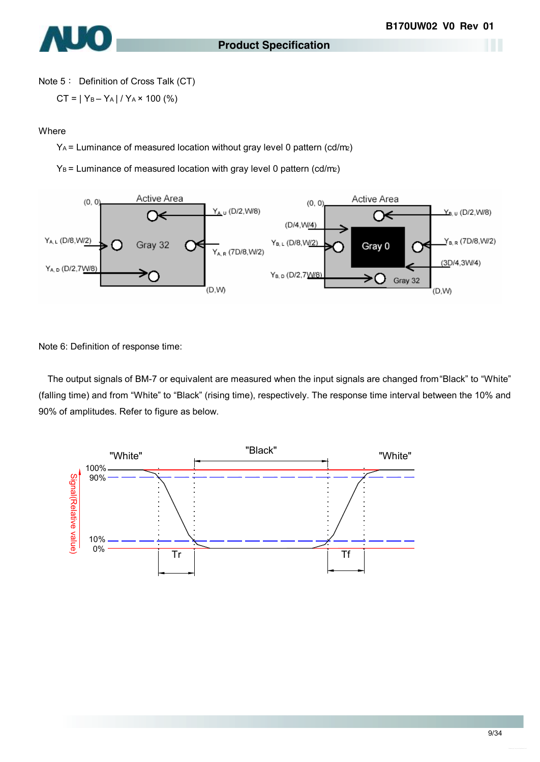

Note 5: Definition of Cross Talk (CT)

$$
CT = |Y_B - Y_A| / Y_A \times 100 \, (\%)
$$

**Where** 

YA = Luminance of measured location without gray level 0 pattern (cd/m2)

 $Y_B$  = Luminance of measured location with gray level 0 pattern (cd/m2)



Note 6: Definition of response time:

The output signals of BM-7 or equivalent are measured when the input signals are changed from "Black" to "White" (falling time) and from "White" to "Black" (rising time), respectively. The response time interval between the 10% and 90% of amplitudes. Refer to figure as below.

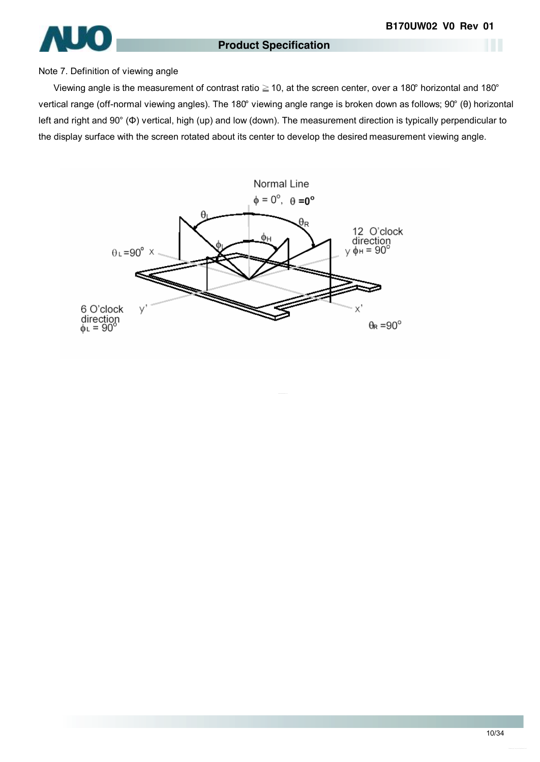

Note 7. Definition of viewing angle

Viewing angle is the measurement of contrast ratio  $\geq$  10, at the screen center, over a 180° horizontal and 180° vertical range (off-normal viewing angles). The 180° viewing angle range is broken down as follows; 90° (θ) horizontal left and right and 90° (Φ) vertical, high (up) and low (down). The measurement direction is typically perpendicular to the display surface with the screen rotated about its center to develop the desired measurement viewing angle.

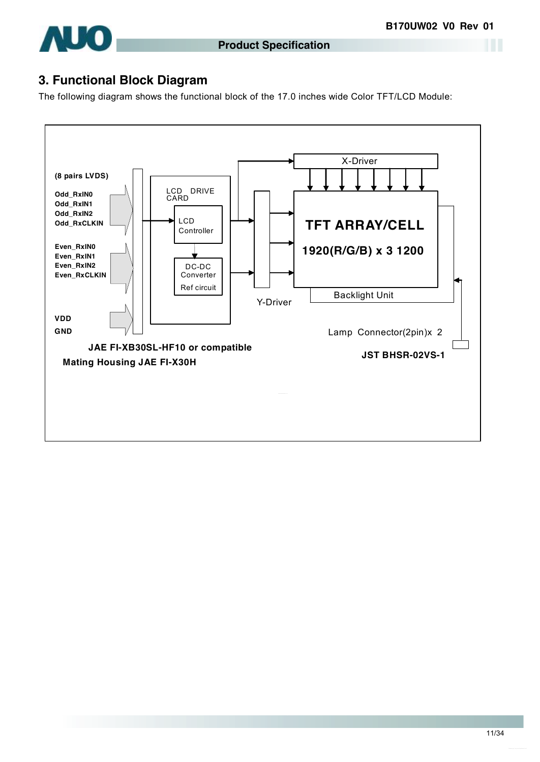

### **3. Functional Block Diagram**

The following diagram shows the functional block of the 17.0 inches wide Color TFT/LCD Module:

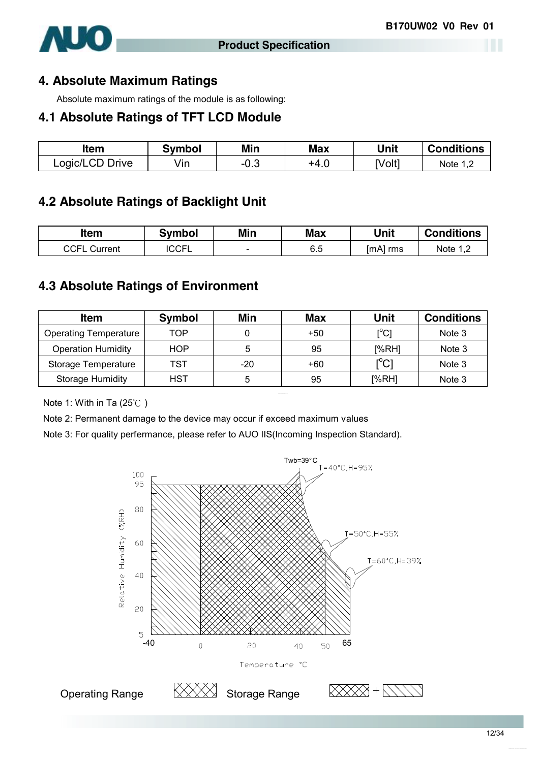

### **4. Absolute Maximum Ratings**

Absolute maximum ratings of the module is as following:

### **4.1 Absolute Ratings of TFT LCD Module**

| ltem.           | Symbol | Min  | <b>Max</b> | Unit   | <b>Conditions</b> |
|-----------------|--------|------|------------|--------|-------------------|
| Logic/LCD Drive | /in    | -U.J | +4.∪       | [Volt] | ⊾,Note 1          |

### **4.2 Absolute Ratings of Backlight Unit**

| Item                | <b>Symbol</b> | Min                      | <b>Max</b> | Unit     | <b>Conditions</b> |
|---------------------|---------------|--------------------------|------------|----------|-------------------|
| <b>CCFL Current</b> | <b>'CCFL</b>  | $\overline{\phantom{a}}$ | 6.5        | [mA] rms | Note 1 C          |

### **4.3 Absolute Ratings of Environment**

| <b>Item</b>                  | <b>Symbol</b> | Min   | <b>Max</b> | Unit                                        | <b>Conditions</b> |
|------------------------------|---------------|-------|------------|---------------------------------------------|-------------------|
| <b>Operating Temperature</b> | TOP           |       | +50        | $\mathsf{I}^\circ\mathsf{C} \mathsf{I}$     | Note 3            |
| <b>Operation Humidity</b>    | HOP           | 5     | 95         | [%RH]                                       | Note 3            |
| Storage Temperature          | TST           | $-20$ | +60        | $\mathop{\rm l\mskip -3.5mu\rm C}\nolimits$ | Note 3            |
| <b>Storage Humidity</b>      | HST           | 5     | 95         | [%RH]                                       | Note 3            |

Note 1: With in Ta (25℃ )

Note 2: Permanent damage to the device may occur if exceed maximum values

Note 3: For quality perfermance, please refer to AUO IIS(Incoming Inspection Standard).

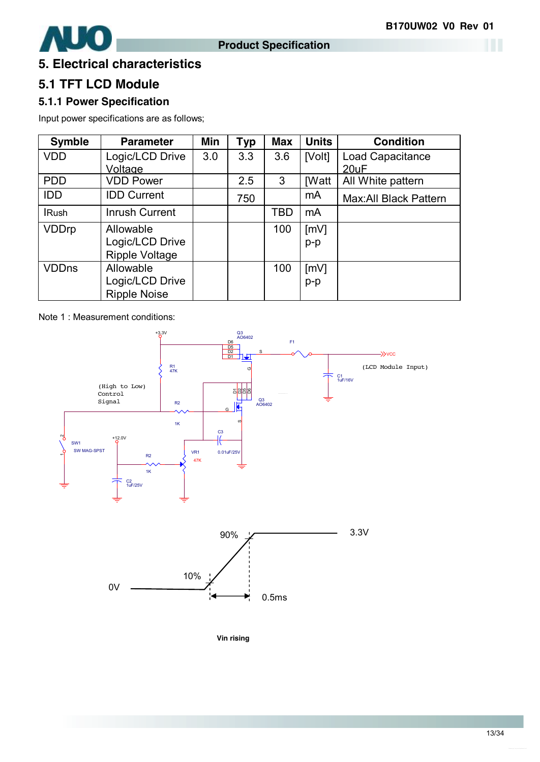# **5. Electrical characteristics**

### **5.1 TFT LCD Module**

### **5.1.1 Power Specification**

Input power specifications are as follows;

| <b>Symble</b> | <b>Parameter</b>      | Min | <b>Typ</b> | <b>Max</b> | <b>Units</b> | <b>Condition</b>       |
|---------------|-----------------------|-----|------------|------------|--------------|------------------------|
| <b>VDD</b>    | Logic/LCD Drive       | 3.0 | 3.3        | 3.6        | [Volt]       | Load Capacitance       |
|               | Voltage               |     |            |            |              | 20uF                   |
| <b>PDD</b>    | <b>VDD Power</b>      |     | 2.5        | 3          | <b>[Watt</b> | All White pattern      |
| <b>IDD</b>    | <b>IDD Current</b>    |     | 750        |            | mA           | Max: All Black Pattern |
| <b>IRush</b>  | Inrush Current        |     |            | TBD        | mA           |                        |
| <b>VDDrp</b>  | Allowable             |     |            | 100        | [mV]         |                        |
|               | Logic/LCD Drive       |     |            |            | p-p          |                        |
|               | <b>Ripple Voltage</b> |     |            |            |              |                        |
| <b>VDDns</b>  | Allowable             |     |            | 100        | [mV]         |                        |
|               | Logic/LCD Drive       |     |            |            | $p-p$        |                        |
|               | <b>Ripple Noise</b>   |     |            |            |              |                        |

Note 1 : Measurement conditions:



**Vin rising**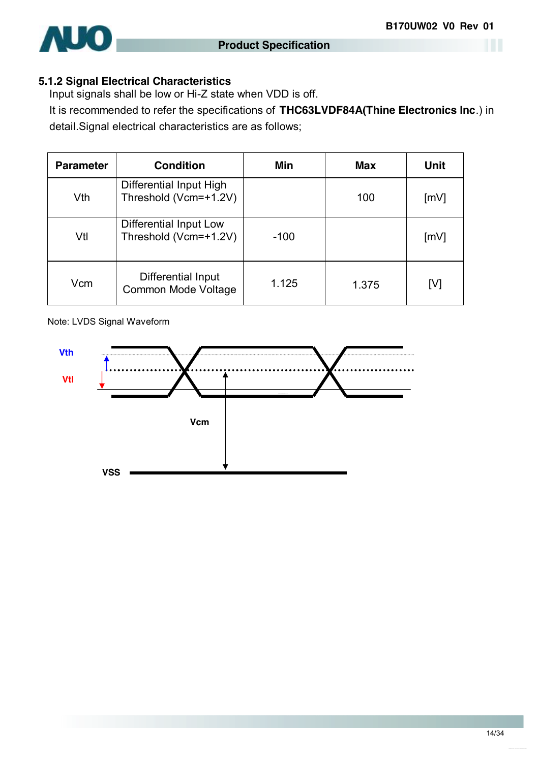

### **5.1.2 Signal Electrical Characteristics**

Input signals shall be low or Hi-Z state when VDD is off.

It is recommended to refer the specifications of **THC63LVDF84A(Thine Electronics Inc**.) in detail.Signal electrical characteristics are as follows;

| <b>Parameter</b> | <b>Condition</b>                                 | Min    | <b>Max</b> | Unit |
|------------------|--------------------------------------------------|--------|------------|------|
| Vth              | Differential Input High<br>Threshold (Vcm=+1.2V) |        | 100        | [mV] |
| Vtl              | Differential Input Low<br>Threshold (Vcm=+1.2V)  | $-100$ |            | [mV] |
| Vcm              | Differential Input<br>Common Mode Voltage        | 1.125  | 1.375      | [V]  |

Note: LVDS Signal Waveform

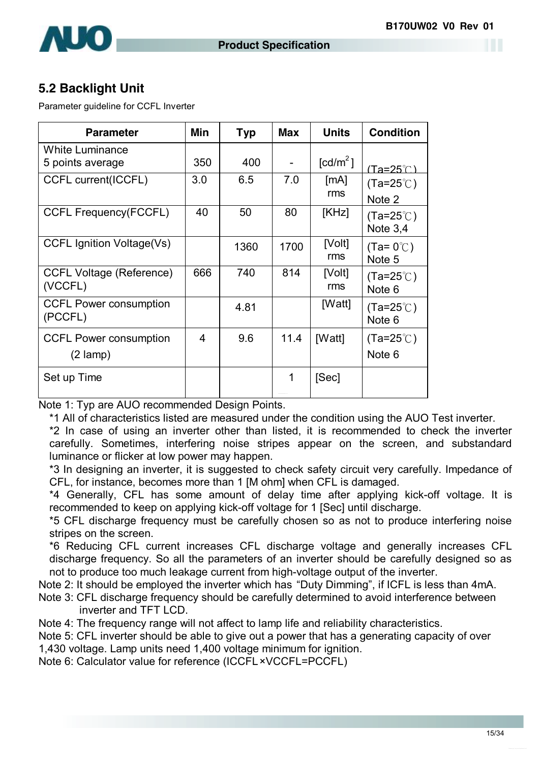

### **5.2 Backlight Unit**

Parameter guideline for CCFL Inverter

| <b>Parameter</b>                                    | Min | Typ  | <b>Max</b> | <b>Units</b>           | <b>Condition</b>                        |
|-----------------------------------------------------|-----|------|------------|------------------------|-----------------------------------------|
| <b>White Luminance</b>                              |     |      |            |                        |                                         |
| 5 points average                                    | 350 | 400  |            | $\lceil cd/m^2 \rceil$ | (Ta=25℃)                                |
| CCFL current(ICCFL)                                 | 3.0 | 6.5  | 7.0        | [MA]                   | $(Ta=25^{\circ}C)$                      |
|                                                     |     |      |            | rms                    | Note 2                                  |
| <b>CCFL Frequency(FCCFL)</b>                        | 40  | 50   | 80         | [KHz]                  | $(Ta=25^{\circ}C)$<br>Note $3,4$        |
| <b>CCFL Ignition Voltage(Vs)</b>                    |     | 1360 | 1700       | [Volt]<br>rms          | $(Ta=0^{\circ}C)$<br>Note 5             |
| <b>CCFL Voltage (Reference)</b><br>(VCCFL)          | 666 | 740  | 814        | [Volt]<br>rms          | $(Ta=25^{\circ}$<br>Note 6              |
| <b>CCFL Power consumption</b><br>(PCCFL)            |     | 4.81 |            | [Watt]                 | $(Ta=25^{\circ}C)$<br>Note <sub>6</sub> |
| <b>CCFL Power consumption</b><br>$(2 \text{ lamp})$ | 4   | 9.6  | 11.4       | [Watt]                 | $(Ta=25^{\circ}$ C)<br>Note 6           |
| Set up Time                                         |     |      | 1          | [Sec]                  |                                         |

Note 1: Typ are AUO recommended Design Points.

\*1 All of characteristics listed are measured under the condition using the AUO Test inverter.

\*2 In case of using an inverter other than listed, it is recommended to check the inverter carefully. Sometimes, interfering noise stripes appear on the screen, and substandard luminance or flicker at low power may happen.

\*3 In designing an inverter, it is suggested to check safety circuit very carefully. Impedance of CFL, for instance, becomes more than 1 [M ohm] when CFL is damaged.

\*4 Generally, CFL has some amount of delay time after applying kick-off voltage. It is recommended to keep on applying kick-off voltage for 1 [Sec] until discharge.

\*5 CFL discharge frequency must be carefully chosen so as not to produce interfering noise stripes on the screen.

\*6 Reducing CFL current increases CFL discharge voltage and generally increases CFL discharge frequency. So all the parameters of an inverter should be carefully designed so as not to produce too much leakage current from high-voltage output of the inverter.

Note 2: It should be employed the inverter which has "Duty Dimming", if ICFL is less than 4mA.

Note 3: CFL discharge frequency should be carefully determined to avoid interference between inverter and TFT LCD.

Note 4: The frequency range will not affect to lamp life and reliability characteristics.

Note 5: CFL inverter should be able to give out a power that has a generating capacity of over 1,430 voltage. Lamp units need 1,400 voltage minimum for ignition.

Note 6: Calculator value for reference (ICCFL×VCCFL=PCCFL)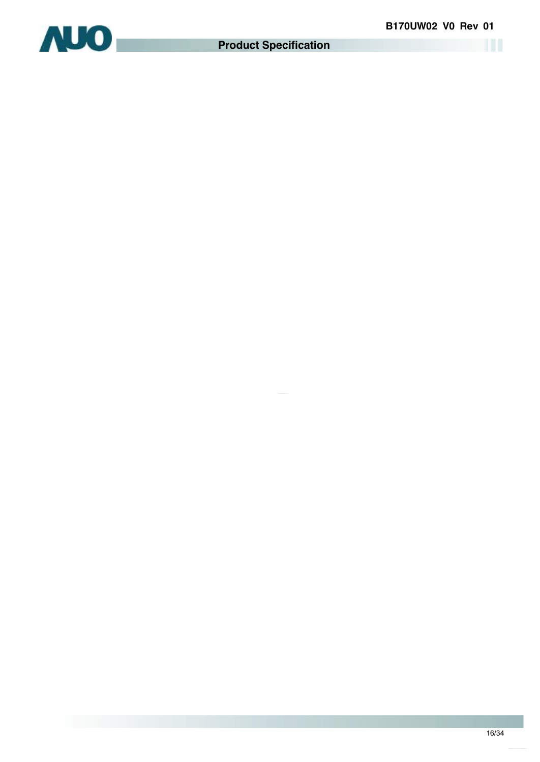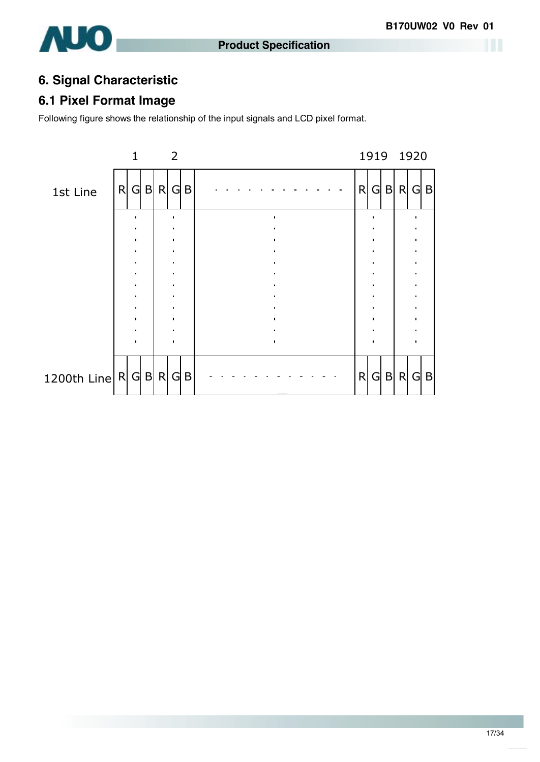

## **6. Signal Characteristic**

## **6.1 Pixel Format Image**

Following figure shows the relationship of the input signals and LCD pixel format.

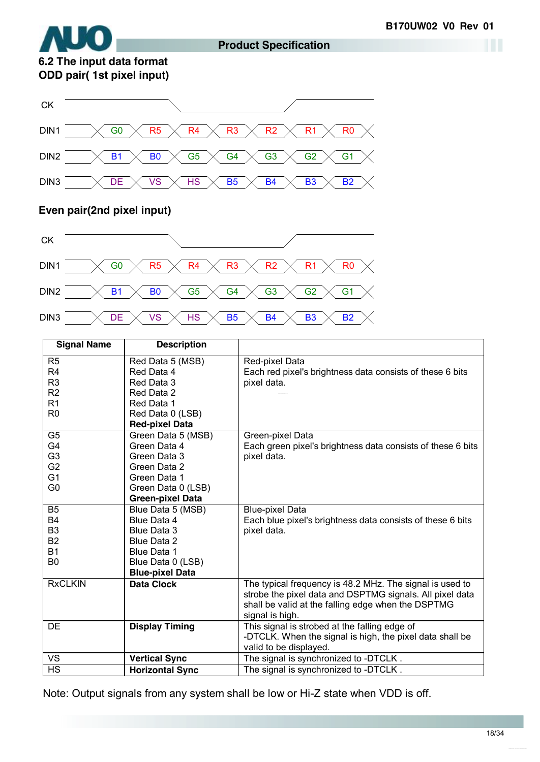

**ODD pair( 1st pixel input)**



### **Even pair(2nd pixel input)**



| <b>Signal Name</b> | <b>Description</b>      |                                                                                    |
|--------------------|-------------------------|------------------------------------------------------------------------------------|
| R <sub>5</sub>     | Red Data 5 (MSB)        | Red-pixel Data                                                                     |
| R <sub>4</sub>     | Red Data 4              | Each red pixel's brightness data consists of these 6 bits                          |
| R <sub>3</sub>     | Red Data 3              | pixel data.                                                                        |
| R <sub>2</sub>     | Red Data 2              |                                                                                    |
| R <sub>1</sub>     | Red Data 1              |                                                                                    |
| R <sub>0</sub>     | Red Data 0 (LSB)        |                                                                                    |
|                    | <b>Red-pixel Data</b>   |                                                                                    |
| G <sub>5</sub>     | Green Data 5 (MSB)      | Green-pixel Data                                                                   |
| G4                 | Green Data 4            | Each green pixel's brightness data consists of these 6 bits                        |
| G <sub>3</sub>     | Green Data 3            | pixel data.                                                                        |
| G <sub>2</sub>     | Green Data 2            |                                                                                    |
| G <sub>1</sub>     | Green Data 1            |                                                                                    |
| G <sub>0</sub>     | Green Data 0 (LSB)      |                                                                                    |
|                    | <b>Green-pixel Data</b> |                                                                                    |
| B <sub>5</sub>     | Blue Data 5 (MSB)       | <b>Blue-pixel Data</b>                                                             |
| <b>B4</b>          | Blue Data 4             | Each blue pixel's brightness data consists of these 6 bits                         |
| B <sub>3</sub>     | Blue Data 3             | pixel data.                                                                        |
| <b>B2</b>          | Blue Data 2             |                                                                                    |
| <b>B1</b>          | <b>Blue Data 1</b>      |                                                                                    |
| B <sub>0</sub>     | Blue Data 0 (LSB)       |                                                                                    |
|                    | <b>Blue-pixel Data</b>  |                                                                                    |
| <b>RxCLKIN</b>     | <b>Data Clock</b>       | The typical frequency is 48.2 MHz. The signal is used to                           |
|                    |                         | strobe the pixel data and DSPTMG signals. All pixel data                           |
|                    |                         | shall be valid at the falling edge when the DSPTMG                                 |
|                    |                         | signal is high.                                                                    |
| <b>DE</b>          | <b>Display Timing</b>   | This signal is strobed at the falling edge of                                      |
|                    |                         | -DTCLK. When the signal is high, the pixel data shall be<br>valid to be displayed. |
| <b>VS</b>          | <b>Vertical Sync</b>    | The signal is synchronized to -DTCLK.                                              |
| <b>HS</b>          | <b>Horizontal Sync</b>  | The signal is synchronized to -DTCLK.                                              |

Note: Output signals from any system shall be low or Hi-Z state when VDD is off.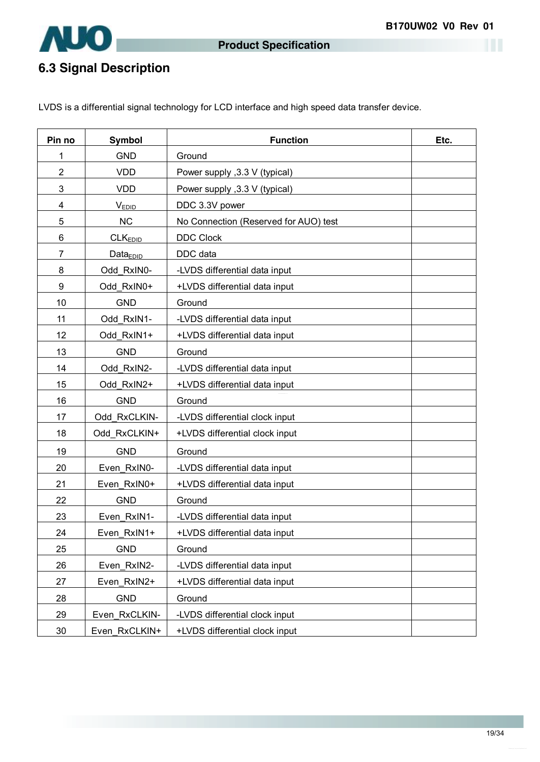Ш



## **6.3 Signal Description**

LVDS is a differential signal technology for LCD interface and high speed data transfer device.

| Pin no         | <b>Symbol</b>       | <b>Function</b>                       | Etc. |
|----------------|---------------------|---------------------------------------|------|
| 1              | <b>GND</b>          | Ground                                |      |
| $\overline{2}$ | <b>VDD</b>          | Power supply , 3.3 V (typical)        |      |
| 3              | <b>VDD</b>          | Power supply , 3.3 V (typical)        |      |
| $\overline{4}$ | $V_{EDID}$          | DDC 3.3V power                        |      |
| 5              | <b>NC</b>           | No Connection (Reserved for AUO) test |      |
| 6              | CLK <sub>EDID</sub> | <b>DDC Clock</b>                      |      |
| $\overline{7}$ | $Data_{EDID}$       | DDC data                              |      |
| 8              | Odd RxIN0-          | -LVDS differential data input         |      |
| 9              | Odd RxIN0+          | +LVDS differential data input         |      |
| 10             | <b>GND</b>          | Ground                                |      |
| 11             | Odd RxIN1-          | -LVDS differential data input         |      |
| 12             | Odd RxIN1+          | +LVDS differential data input         |      |
| 13             | <b>GND</b>          | Ground                                |      |
| 14             | Odd RxIN2-          | -LVDS differential data input         |      |
| 15             | Odd RxIN2+          | +LVDS differential data input         |      |
| 16             | <b>GND</b>          | Ground                                |      |
| 17             | Odd RxCLKIN-        | -LVDS differential clock input        |      |
| 18             | Odd_RxCLKIN+        | +LVDS differential clock input        |      |
| 19             | <b>GND</b>          | Ground                                |      |
| 20             | Even RxIN0-         | -LVDS differential data input         |      |
| 21             | Even RxIN0+         | +LVDS differential data input         |      |
| 22             | <b>GND</b>          | Ground                                |      |
| 23             | Even RxIN1-         | -LVDS differential data input         |      |
| 24             | Even RxIN1+         | +LVDS differential data input         |      |
| 25             | <b>GND</b>          | Ground                                |      |
| 26             | Even RxIN2-         | -LVDS differential data input         |      |
| 27             | Even RxIN2+         | +LVDS differential data input         |      |
| 28             | <b>GND</b>          | Ground                                |      |
| 29             | Even_RxCLKIN-       | -LVDS differential clock input        |      |
| $30\,$         | Even RxCLKIN+       | +LVDS differential clock input        |      |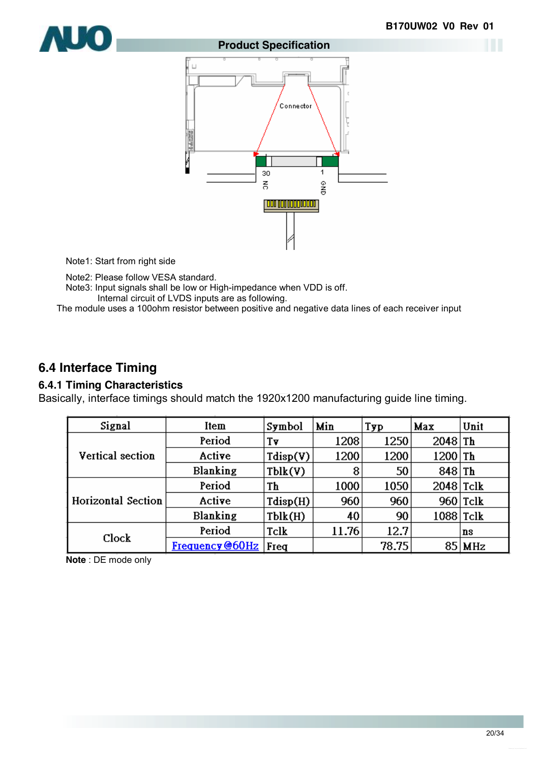# AU O

#### **Product Specification**



Note1: Start from right side

Note2: Please follow VESA standard.

Note3: Input signals shall be low or High-impedance when VDD is off. Internal circuit of LVDS inputs are as following.

The module uses a 100ohm resistor between positive and negative data lines of each receiver input

### **6.4 Interface Timing**

### **6.4.1 Timing Characteristics**

Basically, interface timings should match the 1920x1200 manufacturing guide line timing.

| Signal                             | Item     | Symbol   | Min   | Typ  | Max         | Unit       |
|------------------------------------|----------|----------|-------|------|-------------|------------|
| Vertical section                   | Period   | Тv       | 1208  | 1250 | $2048$ Th   |            |
|                                    | Active   | Tdisp(V) | 1200  | 1200 | $1200$ Th   |            |
|                                    | Blanking | Tblk(V)  | 8     | 50   | $848$  Th   |            |
|                                    | Period   | Th       | 1000  | 1050 | $2048$ Tclk |            |
| Horizontal Section                 | Active   | Tdisp(H) | 960   | 960  |             | $960$ Tclk |
|                                    | Blanking | Tblk(H)  | 40    | 90   | $1088$ Tclk |            |
| Period<br>Clock<br>Frequency @60Hz |          | Tclk     | 11.76 | 12.7 |             | ns         |
|                                    | Freq     |          | 78.75 | 85   | <b>MHz</b>  |            |

**Note** : DE mode only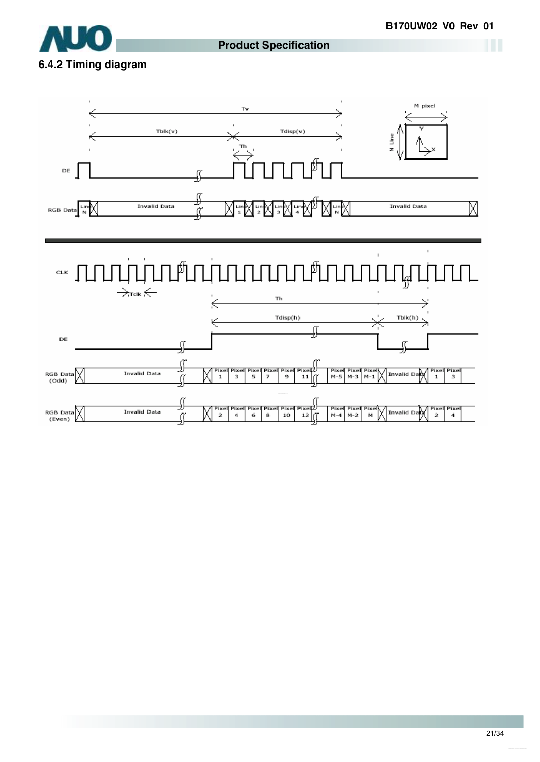

**6.4.2 Timing diagram** 

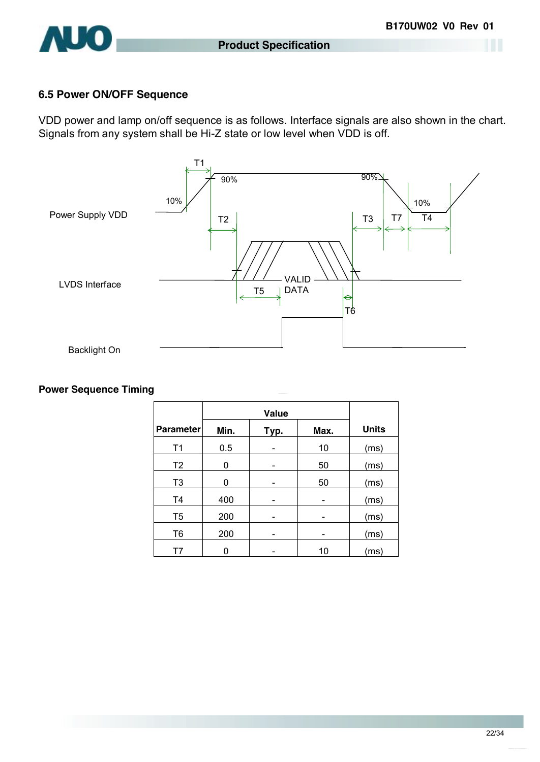

### **6.5 Power ON/OFF Sequence**

VDD power and lamp on/off sequence is as follows. Interface signals are also shown in the chart. Signals from any system shall be Hi-Z state or low level when VDD is off.



### **Power Sequence Timing**

|                  |      | Value |      |              |
|------------------|------|-------|------|--------------|
| <b>Parameter</b> | Min. | Typ.  | Max. | <b>Units</b> |
| T1               | 0.5  |       | 10   | (ms)         |
| T <sub>2</sub>   | 0    |       | 50   | (ms)         |
| T <sub>3</sub>   | 0    |       | 50   | (ms)         |
| T <sub>4</sub>   | 400  |       |      | (ms)         |
| T <sub>5</sub>   | 200  |       |      | (ms)         |
| T <sub>6</sub>   | 200  |       |      | (ms)         |
| T7               | n    |       | 10   | (ms)         |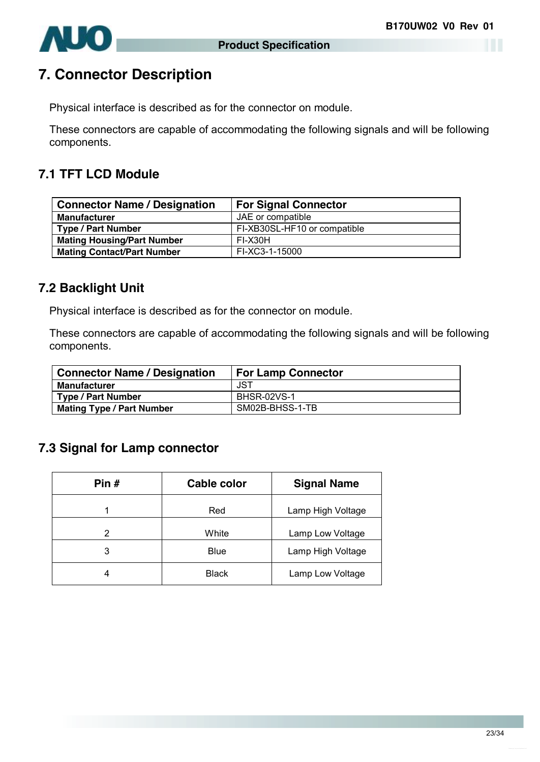

## **7. Connector Description**

Physical interface is described as for the connector on module.

These connectors are capable of accommodating the following signals and will be following components.

### **7.1 TFT LCD Module**

| <b>Connector Name / Designation</b> | <b>For Signal Connector</b>  |
|-------------------------------------|------------------------------|
| <b>Manufacturer</b>                 | JAE or compatible            |
| <b>Type / Part Number</b>           | FI-XB30SL-HF10 or compatible |
| <b>Mating Housing/Part Number</b>   | FI-X30H                      |
| <b>Mating Contact/Part Number</b>   | FI-XC3-1-15000               |

### **7.2 Backlight Unit**

Physical interface is described as for the connector on module.

These connectors are capable of accommodating the following signals and will be following components.

| <b>Connector Name / Designation</b> | <b>For Lamp Connector</b> |
|-------------------------------------|---------------------------|
| Manufacturer                        | JST                       |
| Type / Part Number                  | <b>BHSR-02VS-1</b>        |
| <b>Mating Type / Part Number</b>    | SM02B-BHSS-1-TB           |

### **7.3 Signal for Lamp connector**

| Pin $#$ | <b>Cable color</b> | <b>Signal Name</b> |
|---------|--------------------|--------------------|
| 1       | Red                | Lamp High Voltage  |
| 2       | White              | Lamp Low Voltage   |
| 3       | <b>Blue</b>        | Lamp High Voltage  |
| 4       | <b>Black</b>       | Lamp Low Voltage   |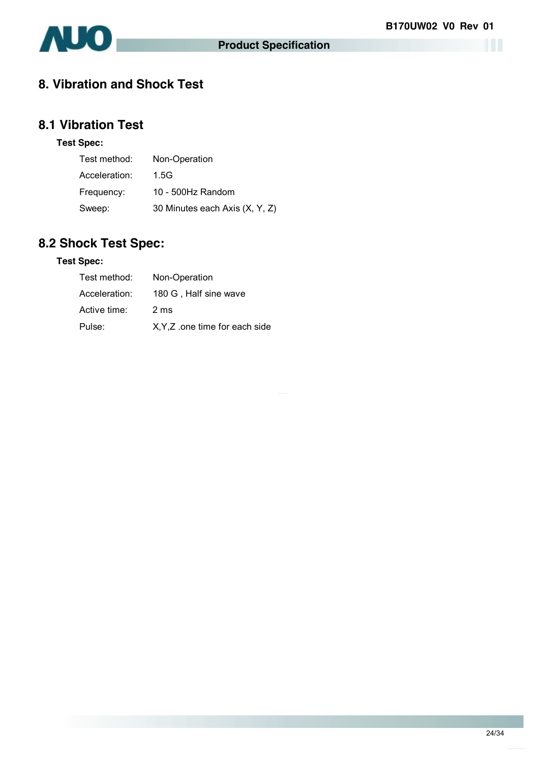

## **8. Vibration and Shock Test**

### **8.1 Vibration Test**

### **Test Spec:**

| Test method:  | Non-Operation                  |
|---------------|--------------------------------|
| Acceleration: | 1.5G                           |
| Frequency:    | 10 - 500Hz Random              |
| Sweep:        | 30 Minutes each Axis (X, Y, Z) |

## **8.2 Shock Test Spec:**

### **Test Spec:**

| Test method:  | Non-Operation                  |
|---------------|--------------------------------|
| Acceleration: | 180 G, Half sine wave          |
| Active time:  | 2 ms                           |
| Pulse:        | X, Y, Z one time for each side |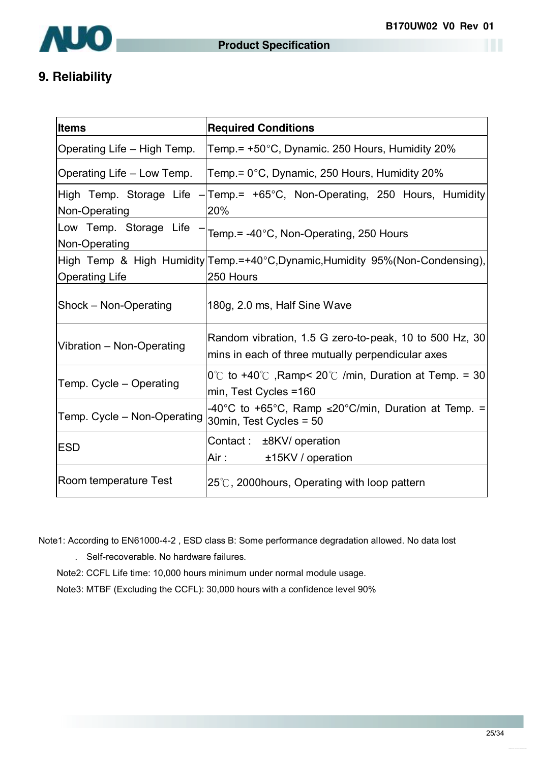

## **9. Reliability**

| <b>Items</b>                            | <b>Required Conditions</b>                                                                                     |
|-----------------------------------------|----------------------------------------------------------------------------------------------------------------|
| Operating Life - High Temp.             | Temp.= $+50^{\circ}$ C, Dynamic. 250 Hours, Humidity 20%                                                       |
| Operating Life – Low Temp.              | Temp.= $0^{\circ}$ C, Dynamic, 250 Hours, Humidity 20%                                                         |
| Non-Operating                           | High Temp. Storage Life $-$ Temp. $=$ +65°C, Non-Operating, 250 Hours, Humidity<br>20%                         |
| Low Temp. Storage Life<br>Non-Operating | Temp.= -40°C, Non-Operating, 250 Hours                                                                         |
| <b>Operating Life</b>                   | High Temp & High Humidity Temp.=+40°C, Dynamic, Humidity 95% (Non-Condensing),<br>250 Hours                    |
| Shock – Non-Operating                   | 180g, 2.0 ms, Half Sine Wave                                                                                   |
| Vibration - Non-Operating               | Random vibration, 1.5 G zero-to-peak, 10 to 500 Hz, 30<br>mins in each of three mutually perpendicular axes    |
| Temp. Cycle - Operating                 | $0^{\circ}$ C to +40 $^{\circ}$ C, Ramp< 20 $^{\circ}$ C /min, Duration at Temp. = 30<br>min, Test Cycles =160 |
| Temp. Cycle - Non-Operating             | -40°C to +65°C, Ramp $\leq$ 20°C/min, Duration at Temp. =<br>30min, Test Cycles = 50                           |
| <b>ESD</b>                              | Contact: ±8KV/ operation<br>Air : The Sea<br>±15KV / operation                                                 |
| Room temperature Test                   | $25^{\circ}$ C, 2000 hours, Operating with loop pattern                                                        |

Note1: According to EN61000-4-2 , ESD class B: Some performance degradation allowed. No data lost

. Self-recoverable. No hardware failures.

Note2: CCFL Life time: 10,000 hours minimum under normal module usage.

Note3: MTBF (Excluding the CCFL): 30,000 hours with a confidence level 90%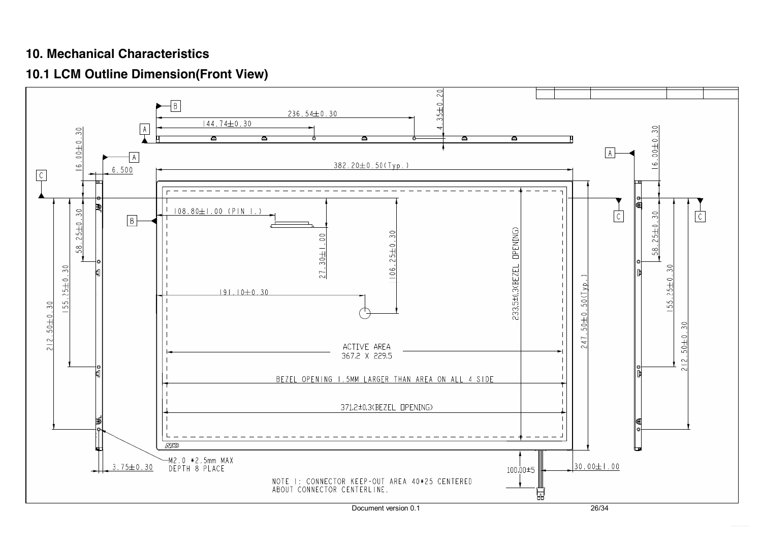### **10. Mechanical Characteristics**

## **10.1 LCM Outline Dimension(Front View)**

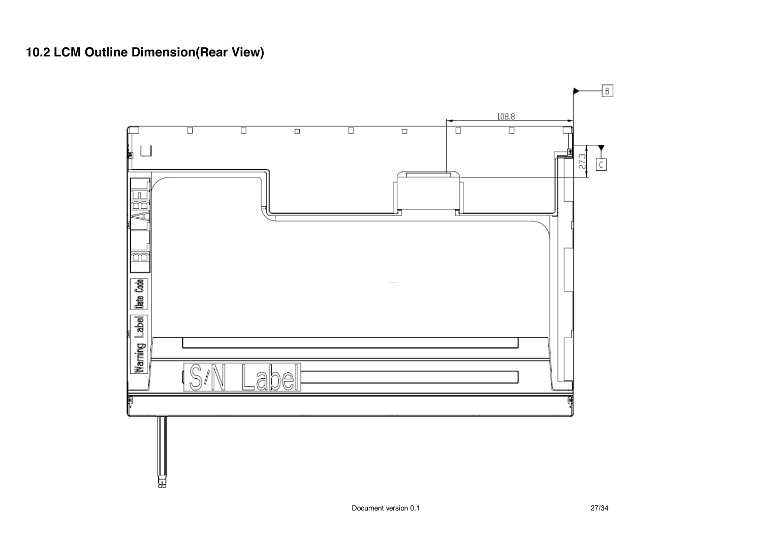## **10.2 LCM Outline Dimension(Rear View)**

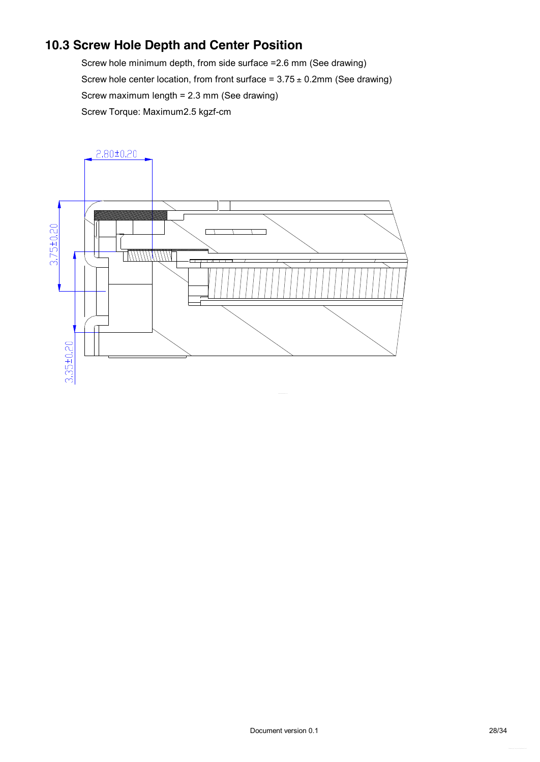### **10.3 Screw Hole Depth and Center Position**

Screw hole minimum depth, from side surface =2.6 mm (See drawing) Screw hole center location, from front surface =  $3.75 \pm 0.2$ mm (See drawing) Screw maximum length = 2.3 mm (See drawing) Screw Torque: Maximum2.5 kgzf-cm

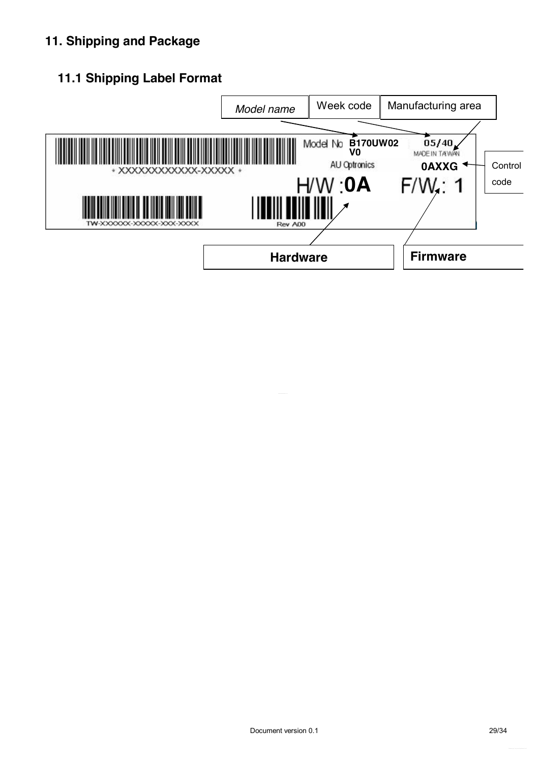## **11. Shipping and Package**

## **11.1 Shipping Label Format**

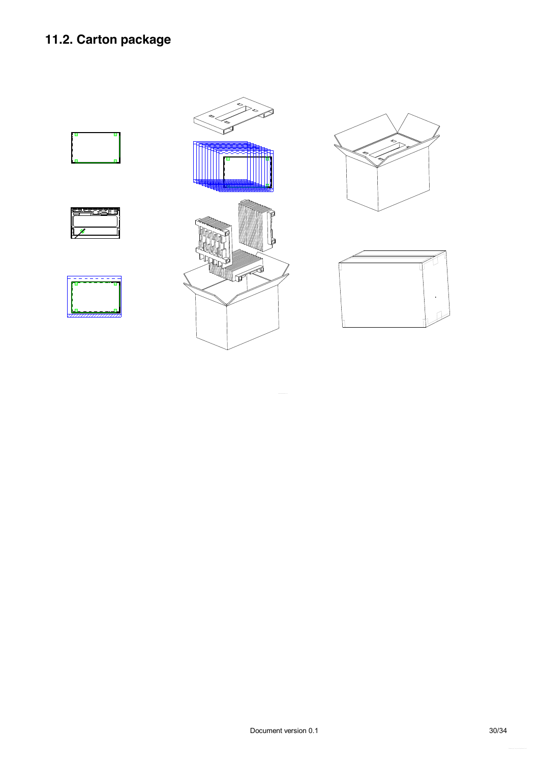## **11.2. Carton package**









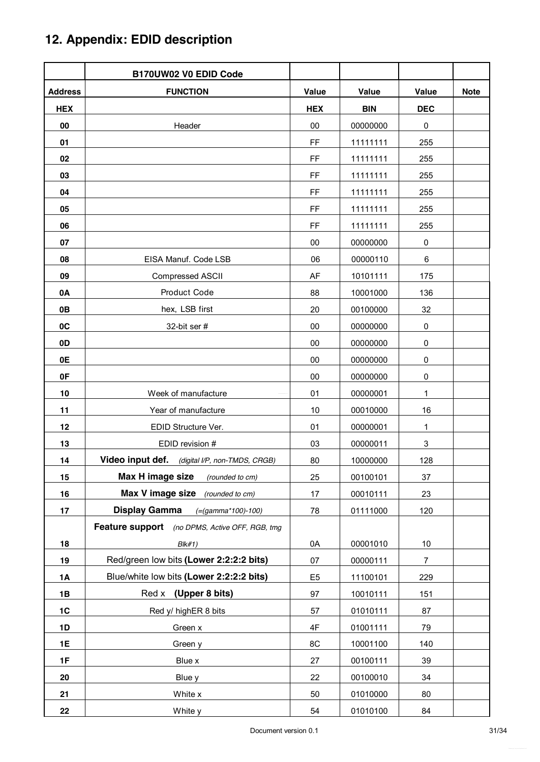# **12. Appendix: EDID description**

|                | B170UW02 V0 EDID Code                              |                |            |                |             |
|----------------|----------------------------------------------------|----------------|------------|----------------|-------------|
| <b>Address</b> | <b>FUNCTION</b>                                    | Value          | Value      | Value          | <b>Note</b> |
| <b>HEX</b>     |                                                    | <b>HEX</b>     | <b>BIN</b> | <b>DEC</b>     |             |
| $\bf{00}$      | Header                                             | 00             | 00000000   | 0              |             |
| 01             |                                                    | FF             | 11111111   | 255            |             |
| 02             |                                                    | FF             | 11111111   | 255            |             |
| 03             |                                                    | FF             | 11111111   | 255            |             |
| 04             |                                                    | FF             | 11111111   | 255            |             |
| 05             |                                                    | FF             | 11111111   | 255            |             |
| 06             |                                                    | FF             | 11111111   | 255            |             |
| 07             |                                                    | 00             | 00000000   | 0              |             |
| 08             | EISA Manuf. Code LSB                               | 06             | 00000110   | 6              |             |
| 09             | Compressed ASCII                                   | AF             | 10101111   | 175            |             |
| 0A             | Product Code                                       | 88             | 10001000   | 136            |             |
| 0B             | hex, LSB first                                     | 20             | 00100000   | 32             |             |
| 0C             | 32-bit ser #                                       | 00             | 00000000   | 0              |             |
| 0D             |                                                    | 00             | 00000000   | $\pmb{0}$      |             |
| 0E             |                                                    | 00             | 00000000   | $\pmb{0}$      |             |
| 0F             |                                                    | 00             | 00000000   | $\pmb{0}$      |             |
| 10             | Week of manufacture                                | 01             | 00000001   | 1              |             |
| 11             | Year of manufacture                                | 10             | 00010000   | 16             |             |
| 12             | EDID Structure Ver.                                | 01             | 00000001   | 1              |             |
| 13             | EDID revision #                                    | 03             | 00000011   | 3              |             |
| 14             | Video input def.<br>(digital I/P, non-TMDS, CRGB)  | 80             | 10000000   | 128            |             |
| 15             | Max H image size<br>(rounded to cm)                | 25             | 00100101   | 37             |             |
| 16             | Max V image size (rounded to cm)                   | 17             | 00010111   | 23             |             |
| 17             | <b>Display Gamma</b><br>$( = (gamma * 100) - 100)$ | 78             | 01111000   | 120            |             |
|                | Feature support (no DPMS, Active OFF, RGB, tmg     |                |            |                |             |
| 18             | Blk#1)                                             | 0A             | 00001010   | $10$           |             |
| 19             | Red/green low bits (Lower 2:2:2:2 bits)            | 07             | 00000111   | $\overline{7}$ |             |
| <b>1A</b>      | Blue/white low bits (Lower 2:2:2:2 bits)           | E <sub>5</sub> | 11100101   | 229            |             |
| 1B             | Red x (Upper 8 bits)                               | 97             | 10010111   | 151            |             |
| 1C             | Red y/ highER 8 bits                               | 57             | 01010111   | 87             |             |
| 1D             | Green x                                            | $4\mathsf{F}$  | 01001111   | 79             |             |
| 1E             | Green y                                            | 8C             | 10001100   | 140            |             |
| 1F             | Blue x                                             | 27             | 00100111   | 39             |             |
| 20             | Blue y                                             | 22             | 00100010   | 34             |             |
| 21             | White x                                            | 50             | 01010000   | 80             |             |
| 22             | White y                                            | 54             | 01010100   | 84             |             |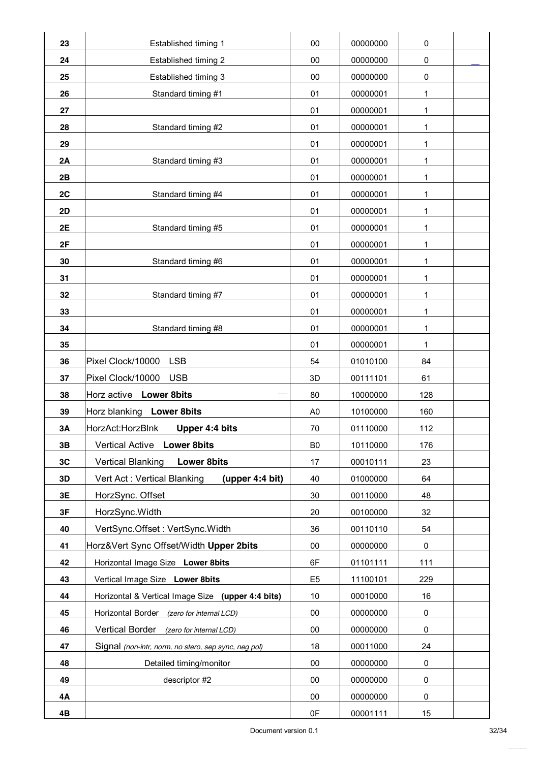| 23 | Established timing 1                                 | 00             | 00000000 | 0   |  |
|----|------------------------------------------------------|----------------|----------|-----|--|
| 24 | Established timing 2                                 | 00             | 00000000 | 0   |  |
| 25 | Established timing 3                                 | 00             | 00000000 | 0   |  |
| 26 | Standard timing #1                                   | 01             | 00000001 | 1   |  |
| 27 |                                                      | 01             | 00000001 | 1   |  |
| 28 | Standard timing #2                                   | 01             | 00000001 | 1   |  |
| 29 |                                                      | 01             | 00000001 | 1   |  |
| 2A | Standard timing #3                                   | 01             | 00000001 | 1   |  |
| 2B |                                                      | 01             | 00000001 | 1   |  |
| 2C | Standard timing #4                                   | 01             | 00000001 | 1   |  |
| 2D |                                                      | 01             | 00000001 | 1   |  |
| 2E | Standard timing #5                                   | 01             | 00000001 | 1   |  |
| 2F |                                                      | 01             | 00000001 | 1   |  |
| 30 | Standard timing #6                                   | 01             | 00000001 | 1   |  |
| 31 |                                                      | 01             | 00000001 | 1   |  |
| 32 | Standard timing #7                                   | 01             | 00000001 | 1   |  |
| 33 |                                                      | 01             | 00000001 | 1   |  |
| 34 | Standard timing #8                                   | 01             | 00000001 | 1   |  |
| 35 |                                                      | 01             | 00000001 | 1   |  |
| 36 | Pixel Clock/10000<br><b>LSB</b>                      | 54             | 01010100 | 84  |  |
| 37 | Pixel Clock/10000<br><b>USB</b>                      | 3D             | 00111101 | 61  |  |
| 38 | Horz active Lower 8bits                              | 80             | 10000000 | 128 |  |
| 39 | Horz blanking Lower 8bits                            | A <sub>0</sub> | 10100000 | 160 |  |
| 3A | HorzAct:HorzBlnk<br>Upper 4:4 bits                   | 70             | 01110000 | 112 |  |
| 3B | Vertical Active Lower 8bits                          | B <sub>0</sub> | 10110000 | 176 |  |
| 3C | Vertical Blanking<br><b>Lower 8bits</b>              | 17             | 00010111 | 23  |  |
| 3D | Vert Act: Vertical Blanking<br>(upper 4:4 bit)       | 40             | 01000000 | 64  |  |
| 3E | HorzSync. Offset                                     | 30             | 00110000 | 48  |  |
| 3F | HorzSync. Width                                      | 20             | 00100000 | 32  |  |
| 40 | VertSync.Offset: VertSync.Width                      | 36             | 00110110 | 54  |  |
| 41 | Horz‖ Sync Offset/Width Upper 2bits                  | 00             | 00000000 | 0   |  |
| 42 | Horizontal Image Size Lower 8bits                    | 6F             | 01101111 | 111 |  |
| 43 | Vertical Image Size Lower 8bits                      | E <sub>5</sub> | 11100101 | 229 |  |
| 44 | Horizontal & Vertical Image Size (upper 4:4 bits)    | 10             | 00010000 | 16  |  |
| 45 | Horizontal Border (zero for internal LCD)            | 00             | 00000000 | 0   |  |
| 46 | <b>Vertical Border</b><br>(zero for internal LCD)    | 00             | 00000000 | 0   |  |
| 47 | Signal (non-intr, norm, no stero, sep sync, neg pol) | 18             | 00011000 | 24  |  |
| 48 | Detailed timing/monitor                              | 00             | 00000000 | 0   |  |
| 49 | descriptor #2                                        | $00\,$         | 00000000 | 0   |  |
| 4Α |                                                      | 00             | 00000000 | 0   |  |
| 4B |                                                      | 0F             | 00001111 | 15  |  |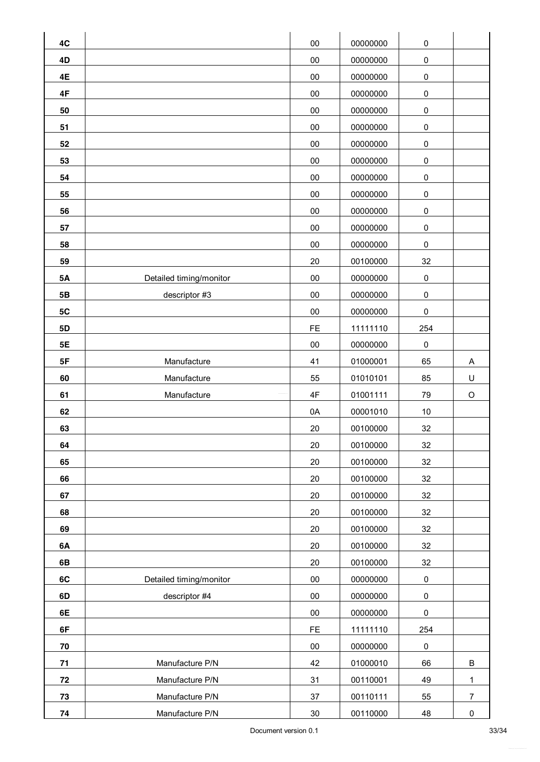| 4C        |                         | $00\,$ | 00000000 | $\pmb{0}$ |                |
|-----------|-------------------------|--------|----------|-----------|----------------|
| 4D        |                         | $00\,$ | 00000000 | $\pmb{0}$ |                |
| 4E        |                         | $00\,$ | 00000000 | $\pmb{0}$ |                |
| 4F        |                         | 00     | 00000000 | 0         |                |
| 50        |                         | 00     | 00000000 | 0         |                |
| 51        |                         | $00\,$ | 00000000 | 0         |                |
| 52        |                         | $00\,$ | 00000000 | 0         |                |
| 53        |                         | $00\,$ | 00000000 | $\pmb{0}$ |                |
| 54        |                         | $00\,$ | 00000000 | $\pmb{0}$ |                |
| 55        |                         | $00\,$ | 00000000 | 0         |                |
| 56        |                         | $00\,$ | 00000000 | 0         |                |
| 57        |                         | $00\,$ | 00000000 | $\pmb{0}$ |                |
| 58        |                         | $00\,$ | 00000000 | $\pmb{0}$ |                |
| 59        |                         | 20     | 00100000 | 32        |                |
| <b>5A</b> | Detailed timing/monitor | $00\,$ | 00000000 | $\pmb{0}$ |                |
| 5B        | descriptor #3           | $00\,$ | 00000000 | $\pmb{0}$ |                |
| 5C        |                         | $00\,$ | 00000000 | 0         |                |
| <b>5D</b> |                         | FE     | 11111110 | 254       |                |
| 5E        |                         | $00\,$ | 00000000 | 0         |                |
| 5F        | Manufacture             | 41     | 01000001 | 65        | A              |
| 60        | Manufacture             | 55     | 01010101 | 85        | U              |
| 61        | Manufacture             | 4F     | 01001111 | 79        | $\mathsf O$    |
| 62        |                         | 0A     | 00001010 | $10$      |                |
| 63        |                         | 20     | 00100000 | 32        |                |
| 64        |                         | 20     | 00100000 | 32        |                |
| 65        |                         | 20     | 00100000 | 32        |                |
| 66        |                         | 20     | 00100000 | 32        |                |
| 67        |                         | 20     | 00100000 | 32        |                |
| 68        |                         | 20     | 00100000 | 32        |                |
| 69        |                         | 20     | 00100000 | 32        |                |
| 6A        |                         | 20     | 00100000 | 32        |                |
| 6B        |                         | 20     | 00100000 | 32        |                |
| 6C        | Detailed timing/monitor | $00\,$ | 00000000 | $\pmb{0}$ |                |
| 6D        | descriptor #4           | $00\,$ | 00000000 | $\pmb{0}$ |                |
| 6E        |                         | 00     | 00000000 | 0         |                |
| 6F        |                         | FE     | 11111110 | 254       |                |
| 70        |                         | $00\,$ | 00000000 | 0         |                |
| $71$      | Manufacture P/N         | 42     | 01000010 | 66        | B              |
| 72        | Manufacture P/N         | 31     | 00110001 | 49        | $\mathbf 1$    |
| 73        | Manufacture P/N         | 37     | 00110111 | 55        | $\overline{7}$ |
| 74        | Manufacture P/N         | $30\,$ | 00110000 | 48        | $\pmb{0}$      |